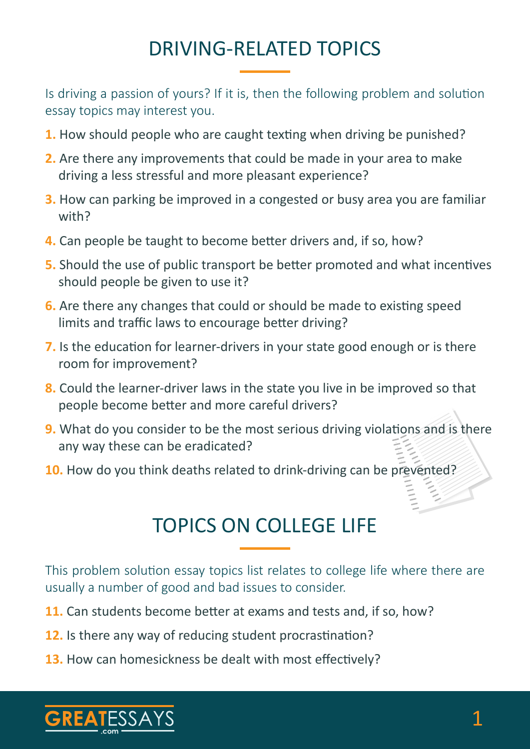# DRIVING-RELATED TOPICS

Is driving a passion of yours? If it is, then the following problem and solution essay topics may interest you.

- **1.** How should people who are caught texting when driving be punished?
- **2.** Are there any improvements that could be made in your area to make driving a less stressful and more pleasant experience?
- **3.** How can parking be improved in a congested or busy area you are familiar with?
- **4.** Can people be taught to become better drivers and, if so, how?
- **5.** Should the use of public transport be better promoted and what incentives should people be given to use it?
- **6.** Are there any changes that could or should be made to existing speed limits and traffic laws to encourage better driving?
- **7.** Is the education for learner-drivers in your state good enough or is there room for improvement?
- **8.** Could the learner-driver laws in the state you live in be improved so that people become better and more careful drivers?
- **9.** What do you consider to be the most serious driving violations and is there any way these can be eradicated?
- **10.** How do you think deaths related to drink-driving can be prevented?

## TOPICS ON COLLEGE LIFE

This problem solution essay topics list relates to college life where there are usually a number of good and bad issues to consider.

- **11.** Can students become better at exams and tests and, if so, how?
- **12.** Is there any way of reducing student procrastination?
- **13.** How can homesickness be dealt with most effectively?

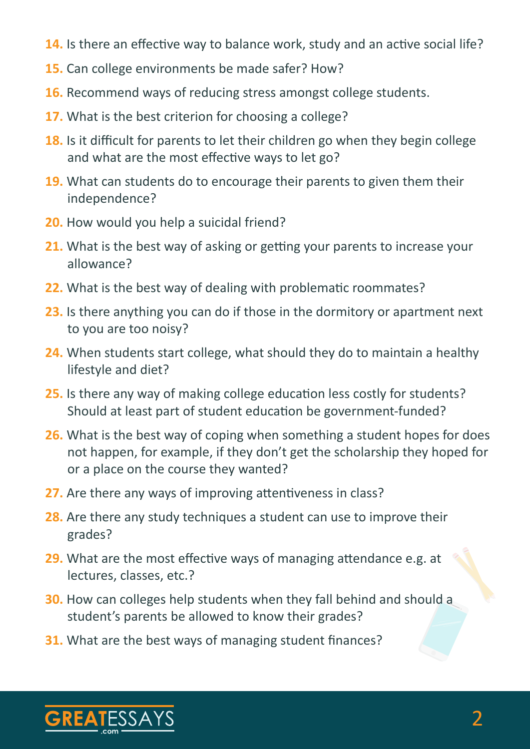- **14.** Is there an effective way to balance work, study and an active social life?
- **15.** Can college environments be made safer? How?
- **16.** Recommend ways of reducing stress amongst college students.
- **17.** What is the best criterion for choosing a college?
- **18.** Is it difficult for parents to let their children go when they begin college and what are the most effective ways to let go?
- **19.** What can students do to encourage their parents to given them their independence?
- **20.** How would you help a suicidal friend?
- **21.** What is the best way of asking or getting your parents to increase your allowance?
- **22.** What is the best way of dealing with problematic roommates?
- **23.** Is there anything you can do if those in the dormitory or apartment next to you are too noisy?
- **24.** When students start college, what should they do to maintain a healthy lifestyle and diet?
- **25.** Is there any way of making college education less costly for students? Should at least part of student education be government-funded?
- **26.** What is the best way of coping when something a student hopes for does not happen, for example, if they don't get the scholarship they hoped for or a place on the course they wanted?
- **27.** Are there any ways of improving attentiveness in class?
- **28.** Are there any study techniques a student can use to improve their grades?
- **29.** What are the most effective ways of managing attendance e.g. at lectures, classes, etc.?
- **30.** How can colleges help students when they fall behind and should a student's parents be allowed to know their grades?
- **31.** What are the best ways of managing student finances?

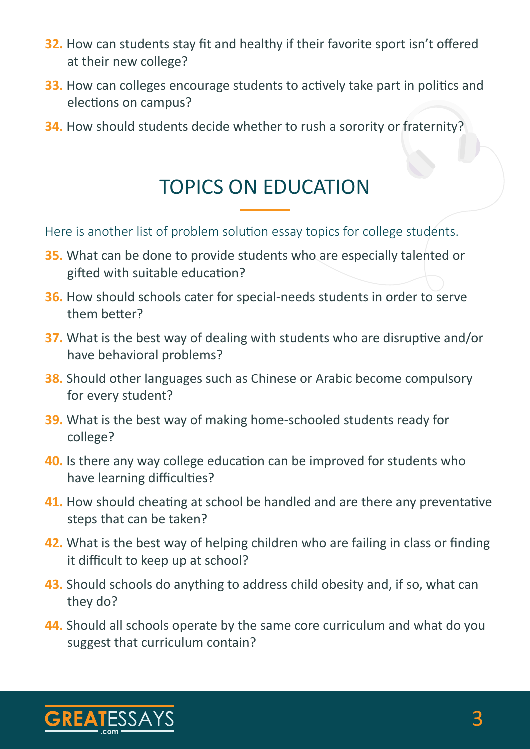- **32.** How can students stay fit and healthy if their favorite sport isn't offered at their new college?
- **33.** How can colleges encourage students to actively take part in politics and elections on campus?
- **34.** How should students decide whether to rush a sorority or fraternity?

### TOPICS ON EDUCATION

Here is another list of problem solution essay topics for college students.

- **35.** What can be done to provide students who are especially talented or gifted with suitable education?
- **36.** How should schools cater for special-needs students in order to serve them better?
- **37.** What is the best way of dealing with students who are disruptive and/or have behavioral problems?
- **38.** Should other languages such as Chinese or Arabic become compulsory for every student?
- **39.** What is the best way of making home-schooled students ready for college?
- **40.** Is there any way college education can be improved for students who have learning difficulties?
- **41.** How should cheating at school be handled and are there any preventative steps that can be taken?
- **42.** What is the best way of helping children who are failing in class or finding it difficult to keep up at school?
- **43.** Should schools do anything to address child obesity and, if so, what can they do?
- **44.** Should all schools operate by the same core curriculum and what do you suggest that curriculum contain?

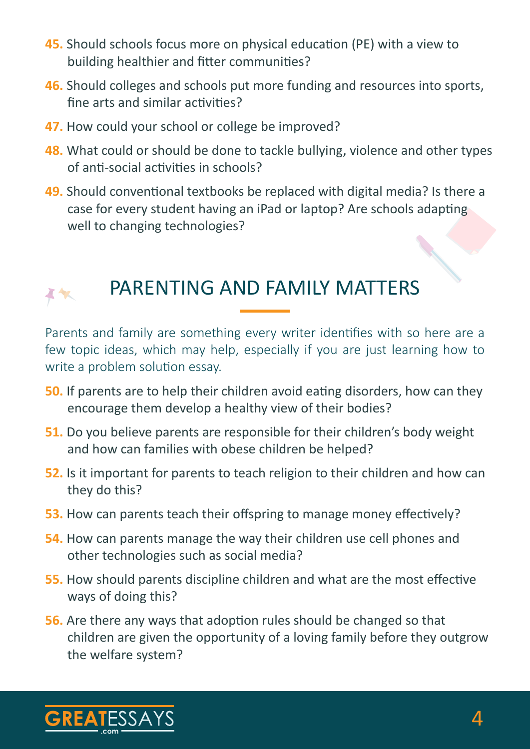- **45.** Should schools focus more on physical education (PE) with a view to building healthier and fitter communities?
- **46.** Should colleges and schools put more funding and resources into sports, fine arts and similar activities?
- **47.** How could your school or college be improved?
- **48.** What could or should be done to tackle bullying, violence and other types of anti-social activities in schools?
- **49.** Should conventional textbooks be replaced with digital media? Is there a case for every student having an iPad or laptop? Are schools adapting well to changing technologies?



#### PARENTING AND FAMILY MATTERS

Parents and family are something every writer identifies with so here are a few topic ideas, which may help, especially if you are just learning how to write a problem solution essay.

- **50.** If parents are to help their children avoid eating disorders, how can they encourage them develop a healthy view of their bodies?
- **51.** Do you believe parents are responsible for their children's body weight and how can families with obese children be helped?
- **52.** Is it important for parents to teach religion to their children and how can they do this?
- **53.** How can parents teach their offspring to manage money effectively?
- **54.** How can parents manage the way their children use cell phones and other technologies such as social media?
- **55.** How should parents discipline children and what are the most effective ways of doing this?
- **56.** Are there any ways that adoption rules should be changed so that children are given the opportunity of a loving family before they outgrow the welfare system?

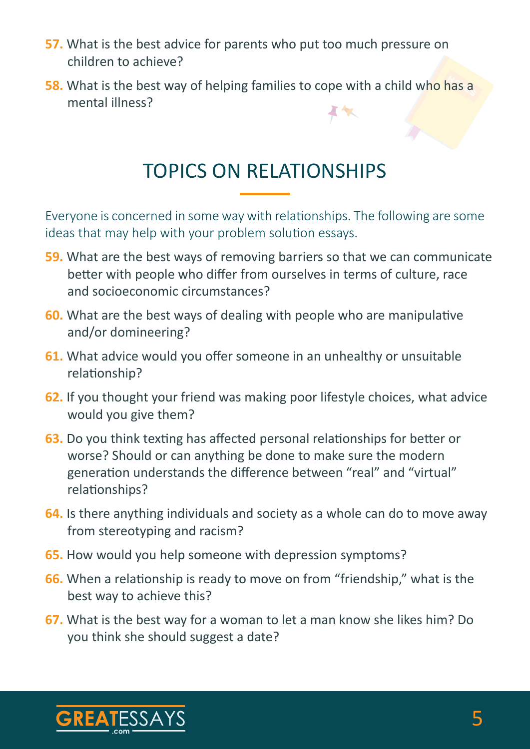- **57.** What is the best advice for parents who put too much pressure on children to achieve?
- **58.** What is the best way of helping families to cope with a child who has a mental illness?

#### TOPICS ON RELATIONSHIPS

Everyone is concerned in some way with relationships. The following are some ideas that may help with your problem solution essays.

- **59.** What are the best ways of removing barriers so that we can communicate better with people who differ from ourselves in terms of culture, race and socioeconomic circumstances?
- **60.** What are the best ways of dealing with people who are manipulative and/or domineering?
- **61.** What advice would you offer someone in an unhealthy or unsuitable relationship?
- **62.** If you thought your friend was making poor lifestyle choices, what advice would you give them?
- **63.** Do you think texting has affected personal relationships for better or worse? Should or can anything be done to make sure the modern generation understands the difference between "real" and "virtual" relationships?
- **64.** Is there anything individuals and society as a whole can do to move away from stereotyping and racism?
- **65.** How would you help someone with depression symptoms?
- **66.** When a relationship is ready to move on from "friendship," what is the best way to achieve this?
- **67.** What is the best way for a woman to let a man know she likes him? Do you think she should suggest a date?

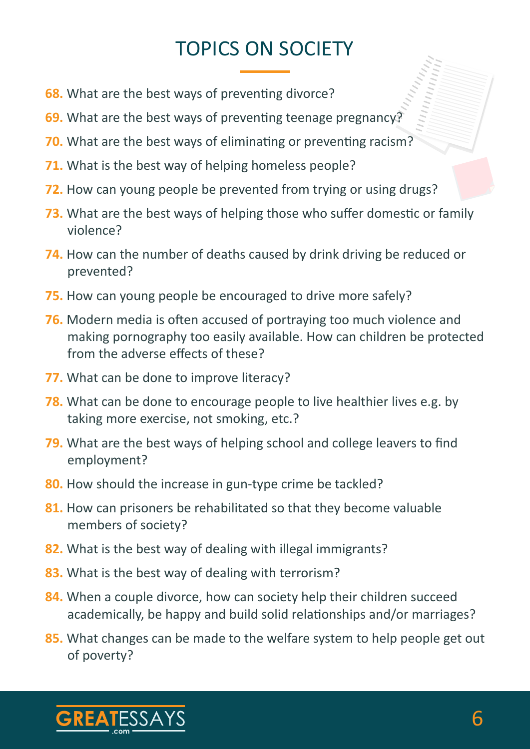# TOPICS ON SOCIETY

- **68.** What are the best ways of preventing divorce?
- **69.** What are the best ways of preventing teenage pregnancy?
- **70.** What are the best ways of eliminating or preventing racism?
- **71.** What is the best way of helping homeless people?
- **72.** How can young people be prevented from trying or using drugs?
- **73.** What are the best ways of helping those who suffer domestic or family violence?
- **74.** How can the number of deaths caused by drink driving be reduced or prevented?
- **75.** How can young people be encouraged to drive more safely?
- **76.** Modern media is often accused of portraying too much violence and making pornography too easily available. How can children be protected from the adverse effects of these?
- **77.** What can be done to improve literacy?
- **78.** What can be done to encourage people to live healthier lives e.g. by taking more exercise, not smoking, etc.?
- **79.** What are the best ways of helping school and college leavers to find employment?
- **80.** How should the increase in gun-type crime be tackled?
- **81.** How can prisoners be rehabilitated so that they become valuable members of society?
- **82.** What is the best way of dealing with illegal immigrants?
- **83.** What is the best way of dealing with terrorism?
- **84.** When a couple divorce, how can society help their children succeed academically, be happy and build solid relationships and/or marriages?
- **85.** What changes can be made to the welfare system to help people get out of poverty?